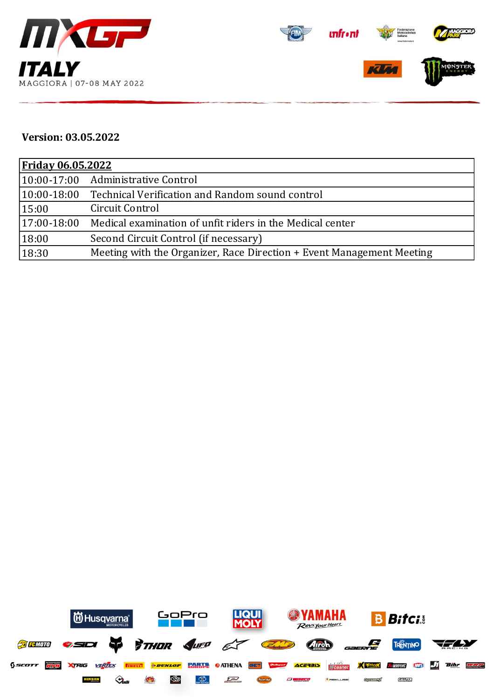



## **Version: 03.05.2022**

| <u>Friday 06.05.2022</u> |                                                                       |  |  |  |
|--------------------------|-----------------------------------------------------------------------|--|--|--|
|                          | 10:00-17:00 Administrative Control                                    |  |  |  |
| $ 10:00-18:00 $          | Technical Verification and Random sound control                       |  |  |  |
| 15:00                    | Circuit Control                                                       |  |  |  |
| $17:00-18:00$            | Medical examination of unfit riders in the Medical center             |  |  |  |
| 18:00                    | Second Circuit Control (if necessary)                                 |  |  |  |
| 18:30                    | Meeting with the Organizer, Race Direction + Event Management Meeting |  |  |  |

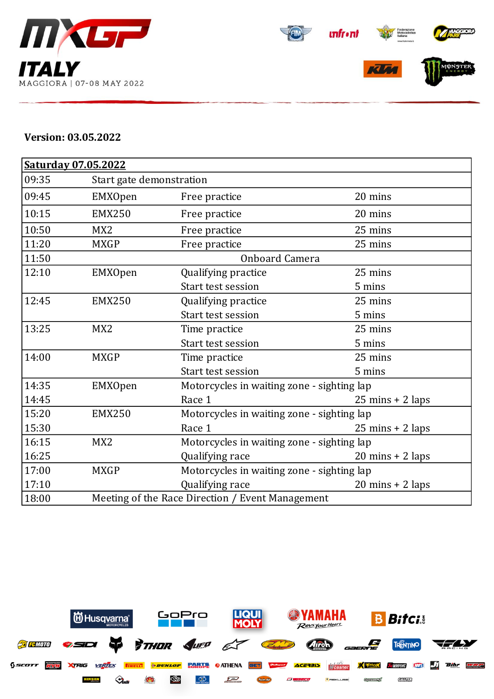





## **Version: 03.05.2022**

| <b>Saturday 07.05.2022</b> |                 |                                                  |                                            |  |  |  |
|----------------------------|-----------------|--------------------------------------------------|--------------------------------------------|--|--|--|
| 09:35                      |                 | Start gate demonstration                         |                                            |  |  |  |
| 09:45                      | EMXOpen         | Free practice                                    | 20 mins                                    |  |  |  |
| 10:15                      | <b>EMX250</b>   | Free practice                                    | 20 mins                                    |  |  |  |
| 10:50                      | MX <sub>2</sub> | Free practice                                    | 25 mins                                    |  |  |  |
| 11:20                      | <b>MXGP</b>     | Free practice                                    | 25 mins                                    |  |  |  |
| 11:50                      |                 | Onboard Camera                                   |                                            |  |  |  |
| 12:10                      | EMXOpen         | Qualifying practice                              | 25 mins                                    |  |  |  |
|                            |                 | Start test session                               | 5 mins                                     |  |  |  |
| 12:45                      | <b>EMX250</b>   | Qualifying practice                              | 25 mins                                    |  |  |  |
|                            |                 | Start test session                               | 5 mins                                     |  |  |  |
| 13:25                      | MX <sub>2</sub> | Time practice                                    | 25 mins                                    |  |  |  |
|                            |                 | Start test session                               | 5 mins                                     |  |  |  |
| 14:00                      | <b>MXGP</b>     | Time practice                                    | 25 mins                                    |  |  |  |
|                            |                 | Start test session                               | 5 mins                                     |  |  |  |
| 14:35                      | <b>EMXOpen</b>  |                                                  | Motorcycles in waiting zone - sighting lap |  |  |  |
| 14:45                      |                 | Race 1                                           | $25 \text{ mins} + 2 \text{ laps}$         |  |  |  |
| 15:20                      | <b>EMX250</b>   |                                                  | Motorcycles in waiting zone - sighting lap |  |  |  |
| 15:30                      |                 | Race 1                                           | $25 \text{ mins} + 2 \text{ laps}$         |  |  |  |
| 16:15                      | MX <sub>2</sub> |                                                  | Motorcycles in waiting zone - sighting lap |  |  |  |
| 16:25                      |                 | Qualifying race                                  | $20 \text{ mins} + 2 \text{ laps}$         |  |  |  |
| 17:00                      | <b>MXGP</b>     | Motorcycles in waiting zone - sighting lap       |                                            |  |  |  |
| 17:10                      |                 | Qualifying race                                  | $20 \text{ mins} + 2 \text{ laps}$         |  |  |  |
| 18:00                      |                 | Meeting of the Race Direction / Event Management |                                            |  |  |  |